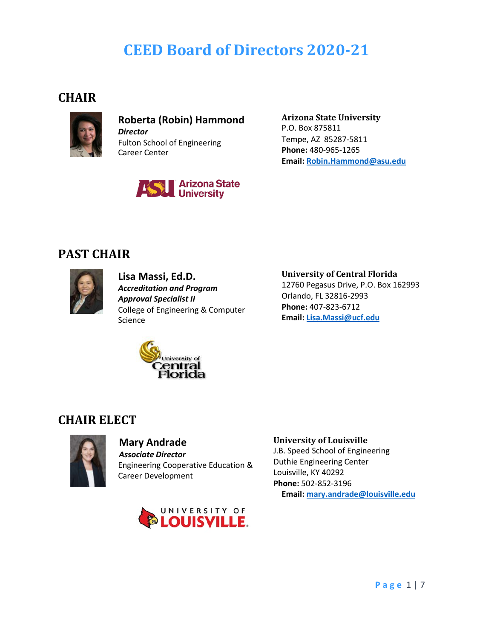# **CEED Board of Directors 2020-21**

### **CHAIR**



**Roberta (Robin) Hammond** *Director* Fulton School of Engineering Career Center



**Arizona State University** P.O. Box 875811 Tempe, AZ 85287-5811 **Phone:** 480-965-1265 **Email: [Robin.Hammond@asu.edu](mailto:Robin.Hammond@asu.edu)**

### **PAST CHAIR**



**Lisa Massi, Ed.D.** *Accreditation and Program Approval Specialist II*  College of Engineering & Computer Science

#### **University of Central Florida**

12760 Pegasus Drive, P.O. Box 162993 Orlando, FL 32816-2993 **Phone:** 407-823-6712 **Email: [Lisa.Massi@ucf.edu](mailto:Lisa.Massi@ucf.edu)**



### **CHAIR ELECT**



### **Mary Andrade**

*Associate Director* Engineering Cooperative Education & Career Development



#### **University of Louisville**

J.B. Speed School of Engineering Duthie Engineering Center Louisville, KY 40292 **Phone:** 502-852-3196 **Email: [mary.andrade@louisville.edu](mailto:mary.andrade@louisville.edu)**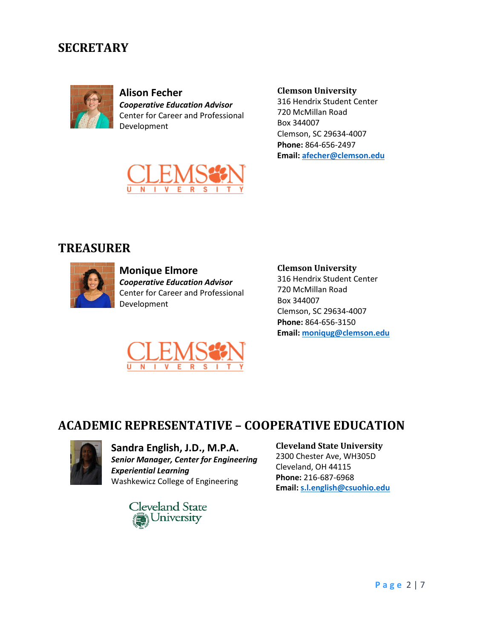### **SECRETARY**



**Alison Fecher** *Cooperative Education Advisor* Center for Career and Professional Development

**Clemson University**

316 Hendrix Student Center 720 McMillan Road Box 344007 Clemson, SC 29634-4007 **Phone:** 864-656-2497 **Email[: afecher@clemson.edu](mailto:afecher@clemson.edu)**



### **TREASURER**



**Monique Elmore** *Cooperative Education Advisor* Center for Career and Professional Development



**Clemson University**

316 Hendrix Student Center 720 McMillan Road Box 344007 Clemson, SC 29634-4007 **Phone:** 864-656-3150 **Email[: moniqug@clemson.edu](mailto:moniqug@clemson.edu)**

### **ACADEMIC REPRESENTATIVE – COOPERATIVE EDUCATION**



**Sandra English, J.D., M.P.A.** *Senior Manager, Center for Engineering Experiential Learning* Washkewicz College of Engineering



#### **Cleveland State University**

2300 Chester Ave, WH305D Cleveland, OH 44115 **Phone:** 216-687-6968 **Email[: s.l.english@csuohio.edu](mailto:s.l.english@csuohio.edu)**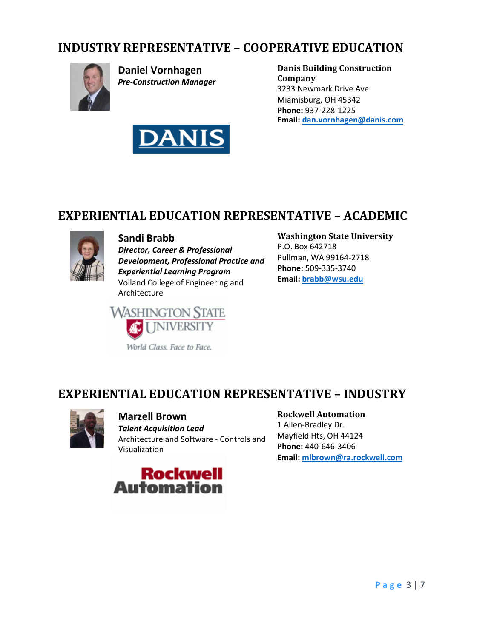### **INDUSTRY REPRESENTATIVE – COOPERATIVE EDUCATION**



**Daniel Vornhagen** *Pre-Construction Manager*



**Danis Building Construction Company** 3233 Newmark Drive Ave Miamisburg, OH 45342 **Phone:** 937-228-1225 **Email[: dan.vornhagen@danis.com](mailto:dan.vornhagen@danis.com)**

### **EXPERIENTIAL EDUCATION REPRESENTATIVE – ACADEMIC**



### **Sandi Brabb**

*Director, Career & Professional Development, Professional Practice and Experiential Learning Program* Voiland College of Engineering and Architecture



### **Washington State University**

P.O. Box 642718 Pullman, WA 99164-2718 **Phone:** 509-335-3740 **Email: [brabb@wsu.edu](mailto:brabb@wsu.edu)**

### **EXPERIENTIAL EDUCATION REPRESENTATIVE – INDUSTRY**



### **Marzell Brown**

*Talent Acquisition Lead* Architecture and Software - Controls and Visualization



### **Rockwell Automation**

1 Allen-Bradley Dr. Mayfield Hts, OH 44124 **Phone:** 440-646-3406 **Email[: mlbrown@ra.rockwell.com](mailto:mlbrown@ra.rockwell.com)**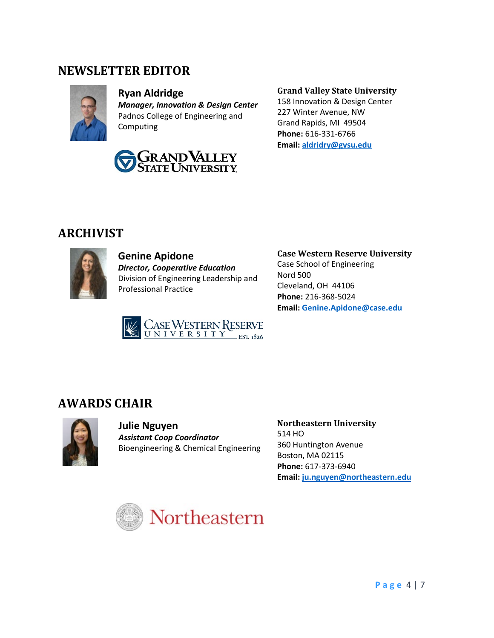### **NEWSLETTER EDITOR**



#### **Ryan Aldridge** *Manager, Innovation & Design Center* Padnos College of Engineering and Computing



#### **Grand Valley State University**

158 Innovation & Design Center 227 Winter Avenue, NW Grand Rapids, MI 49504 **Phone:** 616-331-6766 **Email[: aldridry@gvsu.edu](mailto:aldridry@gvsu.edu)**

### **ARCHIVIST**



**Genine Apidone** *Director, Cooperative Education* Division of Engineering Leadership and Professional Practice



**Case Western Reserve University** Case School of Engineering Nord 500 Cleveland, OH 44106 **Phone:** 216-368-5024 **Email[: Genine.Apidone@case.edu](mailto:Genine.Apidone@case.edu)**

# **AWARDS CHAIR**



**Julie Nguyen** *Assistant Coop Coordinator* Bioengineering & Chemical Engineering **Northeastern University** 514 HO 360 Huntington Avenue Boston, MA 02115 **Phone:** 617-373-6940 **Email[: ju.nguyen@northeastern.edu](mailto:ju.nguyen@northeastern.edu)**

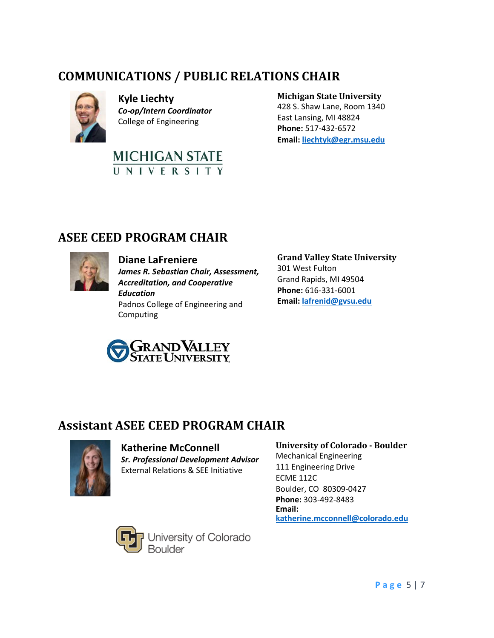# **COMMUNICATIONS / PUBLIC RELATIONS CHAIR**



**Kyle Liechty** *Co-op/Intern Coordinator* College of Engineering



### **Michigan State University**

428 S. Shaw Lane, Room 1340 East Lansing, MI 48824 **Phone:** 517-432-6572 **Email[: liechtyk@egr.msu.edu](mailto:liechtyk@egr.msu.edu)**

## **ASEE CEED PROGRAM CHAIR**



#### **Diane LaFreniere**

*James R. Sebastian Chair, Assessment, Accreditation, and Cooperative Education*

Padnos College of Engineering and Computing



**Grand Valley State University** 301 West Fulton Grand Rapids, MI 49504 **Phone:** 616-331-6001 **Email[: lafrenid@gvsu.edu](mailto:lafrenid@gvsu.edu)**

### **Assistant ASEE CEED PROGRAM CHAIR**



**Katherine McConnell**

*Sr. Professional Development Advisor* External Relations & SEE Initiative

### **University of Colorado - Boulder** Mechanical Engineering 111 Engineering Drive

ECME 112C Boulder, CO 80309-0427 **Phone:** 303-492-8483 **Email: [katherine.mcconnell@colorado.edu](mailto:katherine.mcconnell@colorado.edu)**



University of Colorado<br>Boulder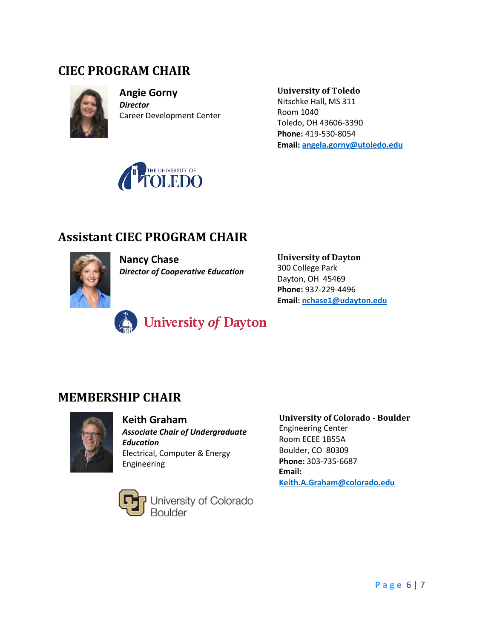### **CIEC PROGRAM CHAIR**



**Angie Gorny** *Director* Career Development Center **University of Toledo** Nitschke Hall, MS 311 Room 1040 Toledo, OH 43606-3390 **Phone:** 419-530-8054 **Email: [angela.gorny@utoledo.edu](mailto:angela.gorny@utoledo.edu)**



# **Assistant CIEC PROGRAM CHAIR**



**Nancy Chase** *Director of Cooperative Education* **University of Dayton** 300 College Park Dayton, OH 45469 **Phone:** 937-229-4496 **Email: [nchase1@udayton.edu](mailto:nchase1@udayton.edu)**



### **MEMBERSHIP CHAIR**



#### **Keith Graham** *Associate Chair of Undergraduate Education* Electrical, Computer & Energy Engineering

University of Colorado<br>Boulder

**University of Colorado - Boulder** Engineering Center Room ECEE 1B55A Boulder, CO 80309 **Phone:** 303-735-6687 **Email: [Keith.A.Graham@colorado.edu](mailto:Keith.A.Graham@colorado.edu)**